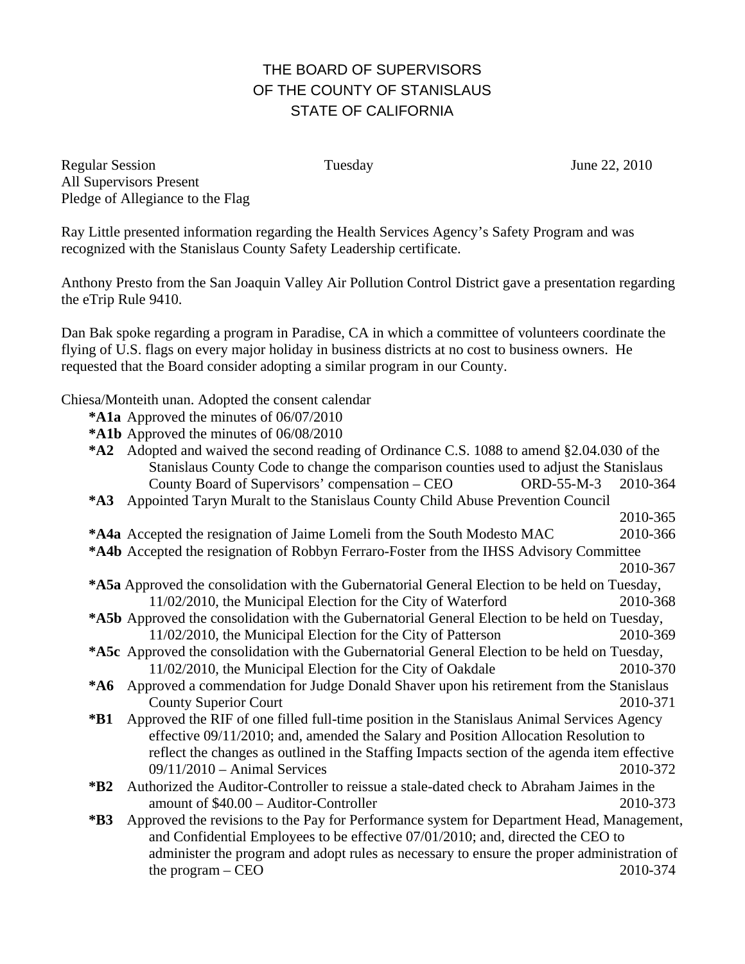## THE BOARD OF SUPERVISORS OF THE COUNTY OF STANISLAUS STATE OF CALIFORNIA

Regular Session Tuesday June 22, 2010 All Supervisors Present Pledge of Allegiance to the Flag

Ray Little presented information regarding the Health Services Agency's Safety Program and was recognized with the Stanislaus County Safety Leadership certificate.

Anthony Presto from the San Joaquin Valley Air Pollution Control District gave a presentation regarding the eTrip Rule 9410.

Dan Bak spoke regarding a program in Paradise, CA in which a committee of volunteers coordinate the flying of U.S. flags on every major holiday in business districts at no cost to business owners. He requested that the Board consider adopting a similar program in our County.

Chiesa/Monteith unan. Adopted the consent calendar

- **\*A1a** Approved the minutes of 06/07/2010
- **\*A1b** Approved the minutes of 06/08/2010
- **\*A2** Adopted and waived the second reading of Ordinance C.S. 1088 to amend §2.04.030 of the Stanislaus County Code to change the comparison counties used to adjust the Stanislaus County Board of Supervisors' compensation – CEO ORD-55-M-3 2010-364
- **\*A3** Appointed Taryn Muralt to the Stanislaus County Child Abuse Prevention Council
- 2010-365
- **\*A4a** Accepted the resignation of Jaime Lomeli from the South Modesto MAC 2010-366 **\*A4b** Accepted the resignation of Robbyn Ferraro-Foster from the IHSS Advisory Committee
	-
- 2010-367 **\*A5a** Approved the consolidation with the Gubernatorial General Election to be held on Tuesday, 11/02/2010, the Municipal Election for the City of Waterford 2010-368
- **\*A5b** Approved the consolidation with the Gubernatorial General Election to be held on Tuesday, 11/02/2010, the Municipal Election for the City of Patterson 2010-369
- **\*A5c** Approved the consolidation with the Gubernatorial General Election to be held on Tuesday, 11/02/2010, the Municipal Election for the City of Oakdale 2010-370
- **\*A6** Approved a commendation for Judge Donald Shaver upon his retirement from the Stanislaus County Superior Court 2010-371
- **\*B1** Approved the RIF of one filled full-time position in the Stanislaus Animal Services Agency effective 09/11/2010; and, amended the Salary and Position Allocation Resolution to reflect the changes as outlined in the Staffing Impacts section of the agenda item effective 09/11/2010 – Animal Services 2010-372
- **\*B2** Authorized the Auditor-Controller to reissue a stale-dated check to Abraham Jaimes in the amount of \$40.00 – Auditor-Controller 2010-373
- **\*B3** Approved the revisions to the Pay for Performance system for Department Head, Management, and Confidential Employees to be effective 07/01/2010; and, directed the CEO to administer the program and adopt rules as necessary to ensure the proper administration of  $\mu$  the program – CEO 2010-374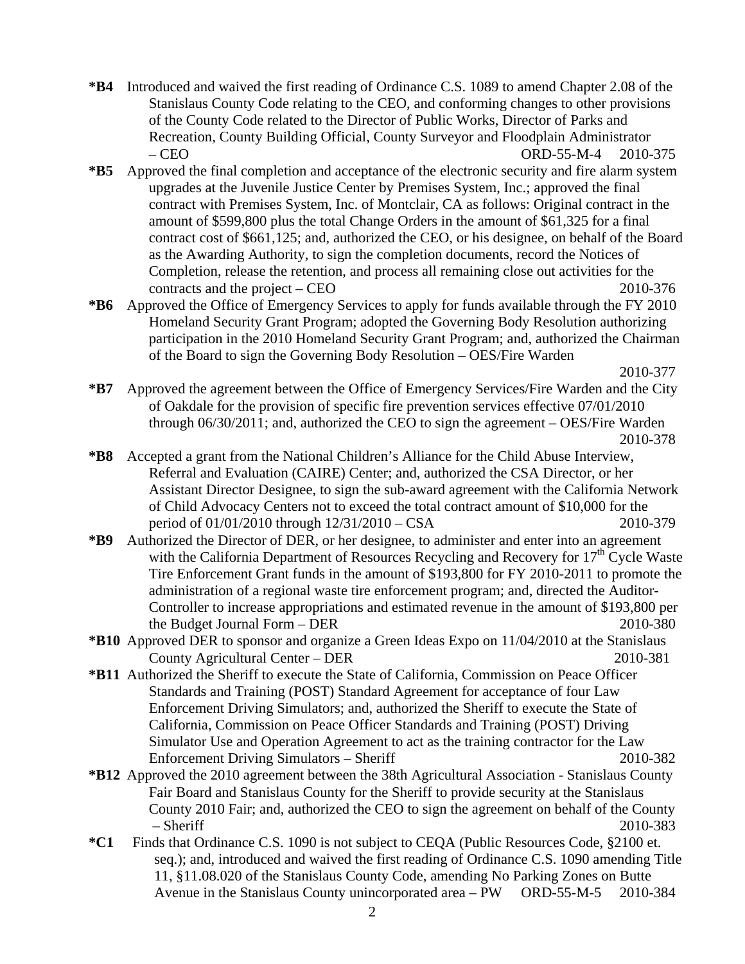- **\*B4** Introduced and waived the first reading of Ordinance C.S. 1089 to amend Chapter 2.08 of the Stanislaus County Code relating to the CEO, and conforming changes to other provisions of the County Code related to the Director of Public Works, Director of Parks and Recreation, County Building Official, County Surveyor and Floodplain Administrator – CEO ORD-55-M-4 2010-375
- **\*B5** Approved the final completion and acceptance of the electronic security and fire alarm system upgrades at the Juvenile Justice Center by Premises System, Inc.; approved the final contract with Premises System, Inc. of Montclair, CA as follows: Original contract in the amount of \$599,800 plus the total Change Orders in the amount of \$61,325 for a final contract cost of \$661,125; and, authorized the CEO, or his designee, on behalf of the Board as the Awarding Authority, to sign the completion documents, record the Notices of Completion, release the retention, and process all remaining close out activities for the contracts and the project – CEO 2010-376
- **\*B6** Approved the Office of Emergency Services to apply for funds available through the FY 2010 Homeland Security Grant Program; adopted the Governing Body Resolution authorizing participation in the 2010 Homeland Security Grant Program; and, authorized the Chairman of the Board to sign the Governing Body Resolution – OES/Fire Warden

**\*B7** Approved the agreement between the Office of Emergency Services/Fire Warden and the City of Oakdale for the provision of specific fire prevention services effective 07/01/2010 through 06/30/2011; and, authorized the CEO to sign the agreement – OES/Fire Warden 2010-378

- **\*B8** Accepted a grant from the National Children's Alliance for the Child Abuse Interview, Referral and Evaluation (CAIRE) Center; and, authorized the CSA Director, or her Assistant Director Designee, to sign the sub-award agreement with the California Network of Child Advocacy Centers not to exceed the total contract amount of \$10,000 for the period of 01/01/2010 through 12/31/2010 – CSA 2010-379
- **\*B9** Authorized the Director of DER, or her designee, to administer and enter into an agreement with the California Department of Resources Recycling and Recovery for  $17<sup>th</sup>$  Cycle Waste Tire Enforcement Grant funds in the amount of \$193,800 for FY 2010-2011 to promote the administration of a regional waste tire enforcement program; and, directed the Auditor-Controller to increase appropriations and estimated revenue in the amount of \$193,800 per the Budget Journal Form – DER 2010-380
- **\*B10** Approved DER to sponsor and organize a Green Ideas Expo on 11/04/2010 at the Stanislaus County Agricultural Center – DER 2010-381
- **\*B11** Authorized the Sheriff to execute the State of California, Commission on Peace Officer Standards and Training (POST) Standard Agreement for acceptance of four Law Enforcement Driving Simulators; and, authorized the Sheriff to execute the State of California, Commission on Peace Officer Standards and Training (POST) Driving Simulator Use and Operation Agreement to act as the training contractor for the Law Enforcement Driving Simulators – Sheriff 2010-382
- **\*B12** Approved the 2010 agreement between the 38th Agricultural Association Stanislaus County Fair Board and Stanislaus County for the Sheriff to provide security at the Stanislaus County 2010 Fair; and, authorized the CEO to sign the agreement on behalf of the County – Sheriff 2010-383
- **\*C1** Finds that Ordinance C.S. 1090 is not subject to CEQA (Public Resources Code, §2100 et. seq.); and, introduced and waived the first reading of Ordinance C.S. 1090 amending Title 11, §11.08.020 of the Stanislaus County Code, amending No Parking Zones on Butte Avenue in the Stanislaus County unincorporated area – PW ORD-55-M-5 2010-384

2010-377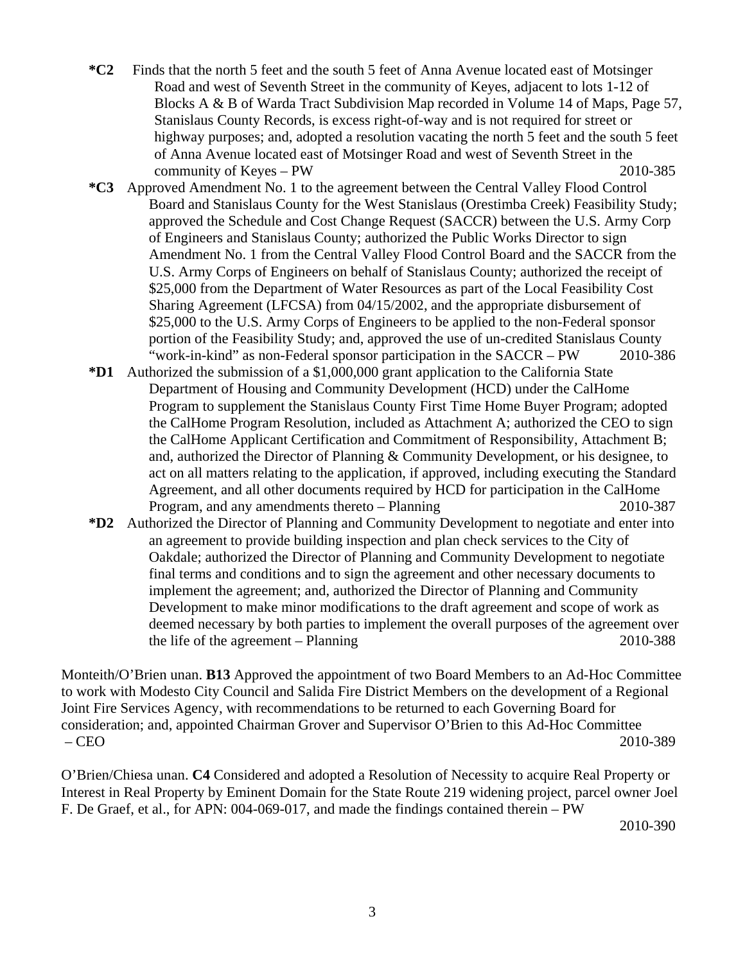- **\*C2** Finds that the north 5 feet and the south 5 feet of Anna Avenue located east of Motsinger Road and west of Seventh Street in the community of Keyes, adjacent to lots 1-12 of Blocks A & B of Warda Tract Subdivision Map recorded in Volume 14 of Maps, Page 57, Stanislaus County Records, is excess right-of-way and is not required for street or highway purposes; and, adopted a resolution vacating the north 5 feet and the south 5 feet of Anna Avenue located east of Motsinger Road and west of Seventh Street in the community of Keyes – PW 2010-385
- **\*C3** Approved Amendment No. 1 to the agreement between the Central Valley Flood Control Board and Stanislaus County for the West Stanislaus (Orestimba Creek) Feasibility Study; approved the Schedule and Cost Change Request (SACCR) between the U.S. Army Corp of Engineers and Stanislaus County; authorized the Public Works Director to sign Amendment No. 1 from the Central Valley Flood Control Board and the SACCR from the U.S. Army Corps of Engineers on behalf of Stanislaus County; authorized the receipt of \$25,000 from the Department of Water Resources as part of the Local Feasibility Cost Sharing Agreement (LFCSA) from 04/15/2002, and the appropriate disbursement of \$25,000 to the U.S. Army Corps of Engineers to be applied to the non-Federal sponsor portion of the Feasibility Study; and, approved the use of un-credited Stanislaus County "work-in-kind" as non-Federal sponsor participation in the SACCR – PW 2010-386
- **\*D1** Authorized the submission of a \$1,000,000 grant application to the California State Department of Housing and Community Development (HCD) under the CalHome Program to supplement the Stanislaus County First Time Home Buyer Program; adopted the CalHome Program Resolution, included as Attachment A; authorized the CEO to sign the CalHome Applicant Certification and Commitment of Responsibility, Attachment B; and, authorized the Director of Planning & Community Development, or his designee, to act on all matters relating to the application, if approved, including executing the Standard Agreement, and all other documents required by HCD for participation in the CalHome Program, and any amendments thereto – Planning 2010-387
- **\*D2** Authorized the Director of Planning and Community Development to negotiate and enter into an agreement to provide building inspection and plan check services to the City of Oakdale; authorized the Director of Planning and Community Development to negotiate final terms and conditions and to sign the agreement and other necessary documents to implement the agreement; and, authorized the Director of Planning and Community Development to make minor modifications to the draft agreement and scope of work as deemed necessary by both parties to implement the overall purposes of the agreement over the life of the agreement – Planning 2010-388

Monteith/O'Brien unan. **B13** Approved the appointment of two Board Members to an Ad-Hoc Committee to work with Modesto City Council and Salida Fire District Members on the development of a Regional Joint Fire Services Agency, with recommendations to be returned to each Governing Board for consideration; and, appointed Chairman Grover and Supervisor O'Brien to this Ad-Hoc Committee – CEO 2010-389

O'Brien/Chiesa unan. **C4** Considered and adopted a Resolution of Necessity to acquire Real Property or Interest in Real Property by Eminent Domain for the State Route 219 widening project, parcel owner Joel F. De Graef, et al., for APN: 004-069-017, and made the findings contained therein – PW

2010-390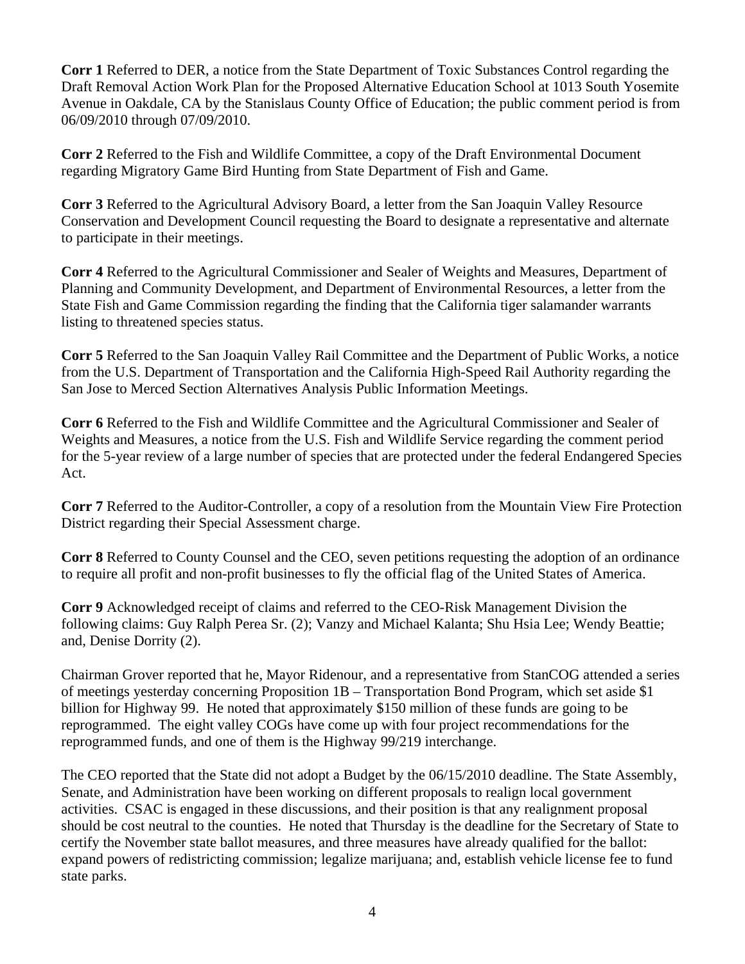**Corr 1** Referred to DER, a notice from the State Department of Toxic Substances Control regarding the Draft Removal Action Work Plan for the Proposed Alternative Education School at 1013 South Yosemite Avenue in Oakdale, CA by the Stanislaus County Office of Education; the public comment period is from 06/09/2010 through 07/09/2010.

**Corr 2** Referred to the Fish and Wildlife Committee, a copy of the Draft Environmental Document regarding Migratory Game Bird Hunting from State Department of Fish and Game.

**Corr 3** Referred to the Agricultural Advisory Board, a letter from the San Joaquin Valley Resource Conservation and Development Council requesting the Board to designate a representative and alternate to participate in their meetings.

**Corr 4** Referred to the Agricultural Commissioner and Sealer of Weights and Measures, Department of Planning and Community Development, and Department of Environmental Resources, a letter from the State Fish and Game Commission regarding the finding that the California tiger salamander warrants listing to threatened species status.

**Corr 5** Referred to the San Joaquin Valley Rail Committee and the Department of Public Works, a notice from the U.S. Department of Transportation and the California High-Speed Rail Authority regarding the San Jose to Merced Section Alternatives Analysis Public Information Meetings.

**Corr 6** Referred to the Fish and Wildlife Committee and the Agricultural Commissioner and Sealer of Weights and Measures, a notice from the U.S. Fish and Wildlife Service regarding the comment period for the 5-year review of a large number of species that are protected under the federal Endangered Species Act.

**Corr 7** Referred to the Auditor-Controller, a copy of a resolution from the Mountain View Fire Protection District regarding their Special Assessment charge.

**Corr 8** Referred to County Counsel and the CEO, seven petitions requesting the adoption of an ordinance to require all profit and non-profit businesses to fly the official flag of the United States of America.

**Corr 9** Acknowledged receipt of claims and referred to the CEO-Risk Management Division the following claims: Guy Ralph Perea Sr. (2); Vanzy and Michael Kalanta; Shu Hsia Lee; Wendy Beattie; and, Denise Dorrity (2).

Chairman Grover reported that he, Mayor Ridenour, and a representative from StanCOG attended a series of meetings yesterday concerning Proposition 1B – Transportation Bond Program, which set aside \$1 billion for Highway 99. He noted that approximately \$150 million of these funds are going to be reprogrammed. The eight valley COGs have come up with four project recommendations for the reprogrammed funds, and one of them is the Highway 99/219 interchange.

The CEO reported that the State did not adopt a Budget by the 06/15/2010 deadline. The State Assembly, Senate, and Administration have been working on different proposals to realign local government activities. CSAC is engaged in these discussions, and their position is that any realignment proposal should be cost neutral to the counties. He noted that Thursday is the deadline for the Secretary of State to certify the November state ballot measures, and three measures have already qualified for the ballot: expand powers of redistricting commission; legalize marijuana; and, establish vehicle license fee to fund state parks.